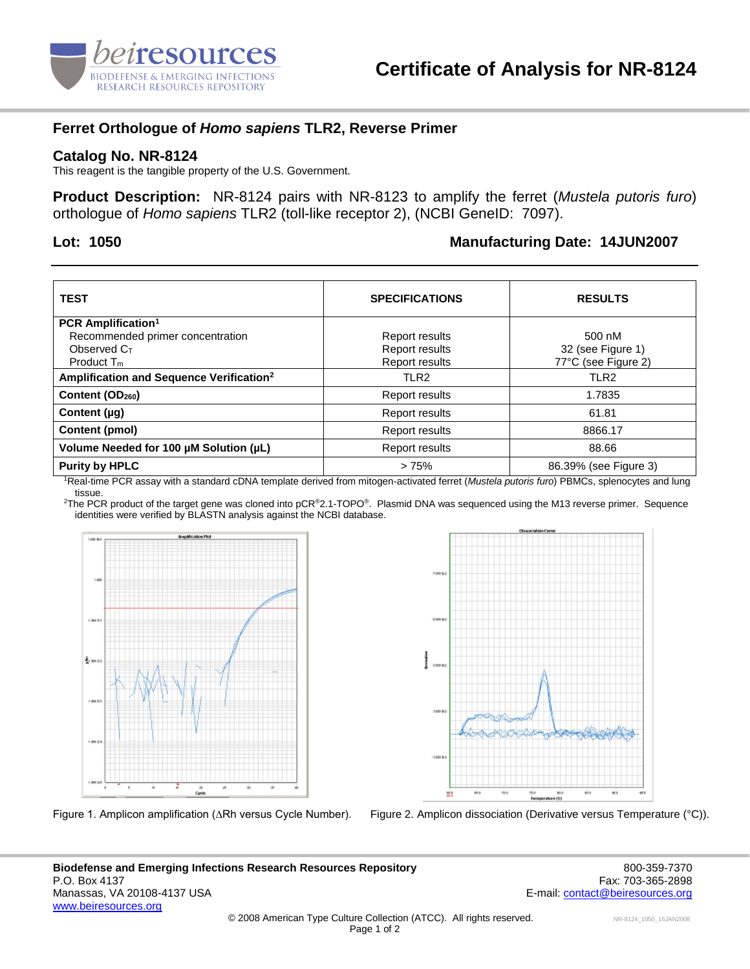

# **Ferret Orthologue of** *Homo sapiens* **TLR2, Reverse Primer**

#### **Catalog No. NR-8124**

This reagent is the tangible property of the U.S. Government.

**Product Description:** NR-8124 pairs with NR-8123 to amplify the ferret (*Mustela putoris furo*) orthologue of *Homo sapiens* TLR2 (toll-like receptor 2), (NCBI GeneID: 7097).

## **Lot: 1050 Manufacturing Date: 14JUN2007**

| <b>TEST</b>                                          | <b>SPECIFICATIONS</b> | <b>RESULTS</b>        |
|------------------------------------------------------|-----------------------|-----------------------|
| <b>PCR Amplification<sup>1</sup></b>                 |                       |                       |
| Recommended primer concentration                     | Report results        | 500 nM                |
| Observed $C_{T}$                                     | Report results        | 32 (see Figure 1)     |
| Product $T_m$                                        | Report results        | 77°C (see Figure 2)   |
| Amplification and Sequence Verification <sup>2</sup> | TLR <sub>2</sub>      | TLR2                  |
| Content (OD <sub>260</sub> )                         | <b>Report results</b> | 1.7835                |
| Content $(\mu q)$                                    | Report results        | 61.81                 |
| Content (pmol)                                       | Report results        | 8866.17               |
| Volume Needed for 100 µM Solution (µL)               | Report results        | 88.66                 |
| <b>Purity by HPLC</b>                                | >75%                  | 86.39% (see Figure 3) |

<sup>1</sup>Real-time PCR assay with a standard cDNA template derived from mitogen-activated ferret (*Mustela putoris furo*) PBMCs, splenocytes and lung tissue.

<sup>2</sup>The PCR product of the target gene was cloned into pCR<sup>®</sup>2.1-TOPO®. Plasmid DNA was sequenced using the M13 reverse primer. Sequence identities were verified by BLASTN analysis against the NCBI database.





Figure 1. Amplicon amplification (∆Rh versus Cycle Number). Figure 2. Amplicon dissociation (Derivative versus Temperature (°C)).